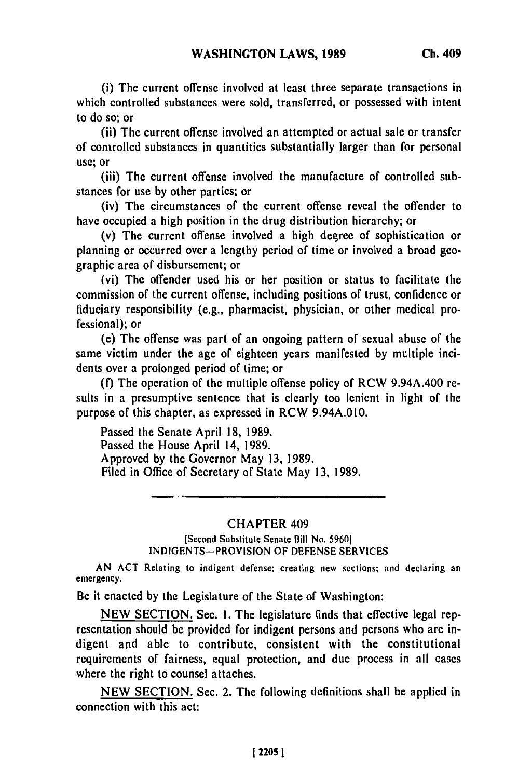(i) The current offense involved at least three separate transactions in which controlled substances were sold, transferred, or possessed with intent to do so; or

**(ii)** The current offense involved an attempted or actual sale or transfer of controlled substances in quantities substantially larger than for personal use; or

(iii) The current offense involved the manufacture of controlled substances for use by other parties; or

(iv) The circumstances of the current offense reveal the offender to have occupied a high position in the drug distribution hierarchy; or

(v) The current offense involved a high degree of sophistication or planning or occurred over a lengthy period of time or involved a broad geographic area of disbursement; or

(vi) The offender used his or her position or status to facilitate the commission of the current offense, including positions of trust, confidence or fiduciary responsibility (e.g., pharmacist, physician, or other medical professional); or

(e) The offense was part of an ongoing pattern of sexual abuse of the same victim under the age of eighteen years manifested by multiple incidents over a prolonged period of time; or

**(f)** The operation of the multiple offense policy of RCW 9.94A.400 results in a presumptive sentence that is clearly too lenient in light of the purpose of this chapter, as expressed in RCW 9.94A.010.

Passed the Senate April 18, 1989. Passed the House April 14, 1989. Approved by the Governor May 13, 1989. Filed in Office of Secretary of State May 13, 1989.

## CHAPTER 409

[Second Substitute Senate Bill No, 5960] INDIGENTS-PROVISION OF DEFENSE SERVICES

AN **ACT** Relating to indigent defense; creating new sections; and declaring an emergency.

Be it enacted by the Legislature of the State of Washington:

NEW SECTION. Sec. 1. The legislature finds that effective legal representation should be provided for indigent persons and persons who are indigent and able to contribute, consistent with the constitutional requirements of fairness, equal protection, and due process in all cases where the right to counsel attaches.

NEW SECTION. Sec. 2. The following definitions shall be applied in connection with this act: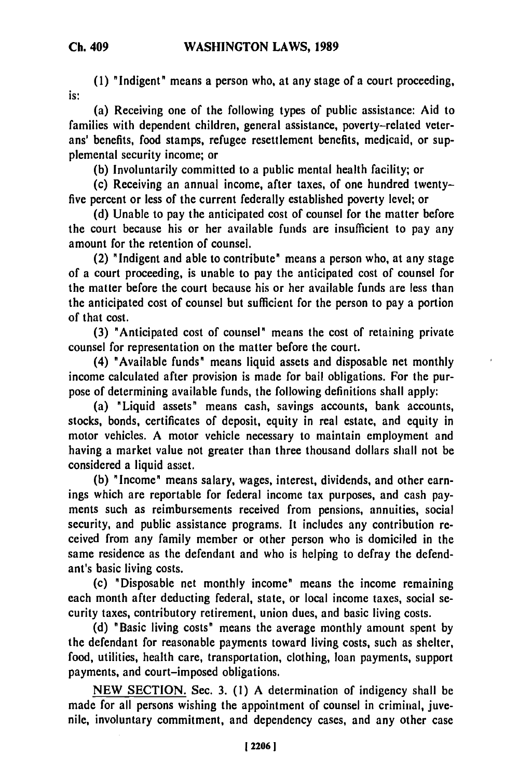**(1)** "Indigent" means a person who, at any stage of a court proceeding, is:

(a) Receiving one of the following types of public assistance: Aid to families with dependent children, general assistance, poverty-related veterans' benefits, food stamps, refugee resettlement benefits, medicaid, or supplemental security income; or

**(b)** Involuntarily committed to a public mental health facility; or

(c) Receiving an annual income, after taxes, of one hundred twentyfive percent or less of the current federally established poverty level; or

**(d)** Unable to pay the anticipated cost of counsel for the matter before the court because his or her available funds are insufficient to pay any amount for the retention of counsel.

(2) "Indigent and able to contribute" means a person who, at any stage of a court proceeding, is unable to pay the anticipated cost of counsel for the matter before the court because his or her available funds are less than the anticipated cost of counsel but sufficient for the person to pay a portion of that cost.

**(3)** "Anticipated cost of counsel" means the cost of retaining private counsel for representation on the matter before the court.

(4) "Available funds" means liquid assets and disposable net monthly income calculated after provision is made for bail obligations. For the purpose of determining available funds, the following definitions shall apply:

(a) "Liquid assets" means cash, savings accounts, bank accounts, stocks, bonds, certificates of deposit, equity in real estate, and equity in motor vehicles. **A** motor vehicle necessary to maintain employment and having a market value not greater than three thousand dollars shall not be considered a liquid asset.

**(b)** " Income " means salary, wages, interest, dividends, and other earnings which are reportable for federal income tax purposes, and cash payments such as reimbursements received from pensions, annuities, social security, and public assistance programs. It includes any contribution received from any family member or other person who is domiciled in the same residence as the defendant and who is helping to defray the defendant's basic living costs.

(c) "Disposable net monthly income" means the income remaining each month after deducting federal, state, or local income taxes, social security taxes, contributory retirement, union dues, and basic living costs.

**(d)** "Basic living costs" means the average monthly amount spent **by** the defendant for reasonable payments toward living costs, such as shelter, food, utilities, health care, transportation, clothing, loan payments, support payments, and court-imposed obligations.

**NEW SECTION.** Sec. **3. (1) A** determination of indigency shall be made for all persons wishing the appointment of counsel in criminal, juvenile, involuntary commitment, and dependency cases, and any other case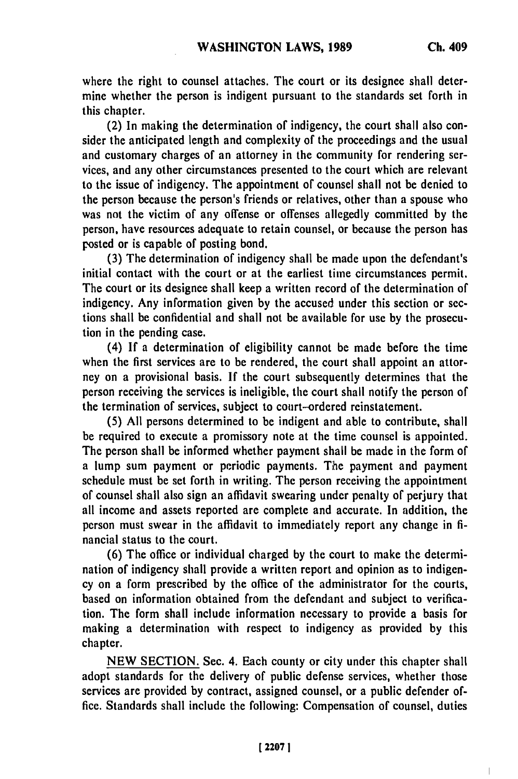where the right to counsel attaches. The court or its designee shall determine whether the person is indigent pursuant to the standards set forth in this chapter.

(2) In making the determination of indigency, the court shall also consider the anticipated length and complexity of the proceedings and the usual and customary charges of an attorney in the community for rendering services, and any other circumstances presented to the court which are relevant to the issue of indigency. The appointment of counsel shall not be denied to the person because the person's friends or relatives, other than a spouse who was not the victim of any offense or offenses allegedly committed **by** the person, have resources adequate to retain counsel, or because the person has posted or is capable of posting bond.

**(3)** The determination of indigency shall be made upon the defendant's initial contact with the court or at the earliest time circumstances permit. The court or its designee shall keep a written record of the determination of indigency. Any information given **by** the accused under this section or sections shall be confidential and shall not be available for use **by** the prosecution in the pending case.

(4) **If** a determination of eligibility cannot be made before the time when the first services are to be rendered, the court shall appoint an attorney on a provisional basis. **If** the court subsequently determines that the person receiving the services is ineligible, the court shall notify the person of the termination of services, subject to court-ordered reinstatement.

**(5) All** persons determined to be indigent and able to contribute, shall be required to execute a promissory note at the time counsel is appointed. The person shall be informed whether payment shall be made in the form of a lump sum payment or periodic payments. The payment and payment schedule must be set forth in writing. The person receiving the appointment of counsel shall also sign an affidavit swearing under penalty of perjury that all income and assets reported are complete and accurate. In addition, the person must swear in the affidavit to immediately report any change in **fi**nancial status to the court.

**(6)** The office or individual charged **by** the court to make the determination of indigency shall provide a written report and opinion as to indigency on a form prescribed **by** the office of the administrator for the courts, based on information obtained from the defendant and subject to verification. The form shall include information necessary to provide a basis for making a determination with respect to indigency as provided **by** this chapter.

NEW SECTION. Sec. **4.** Each county or city under this chapter shall adopt standards for the delivery of public defense services, whether those services are provided by contract, assigned counsel, or a public defender office. Standards shall include the following: Compensation of counsel, duties